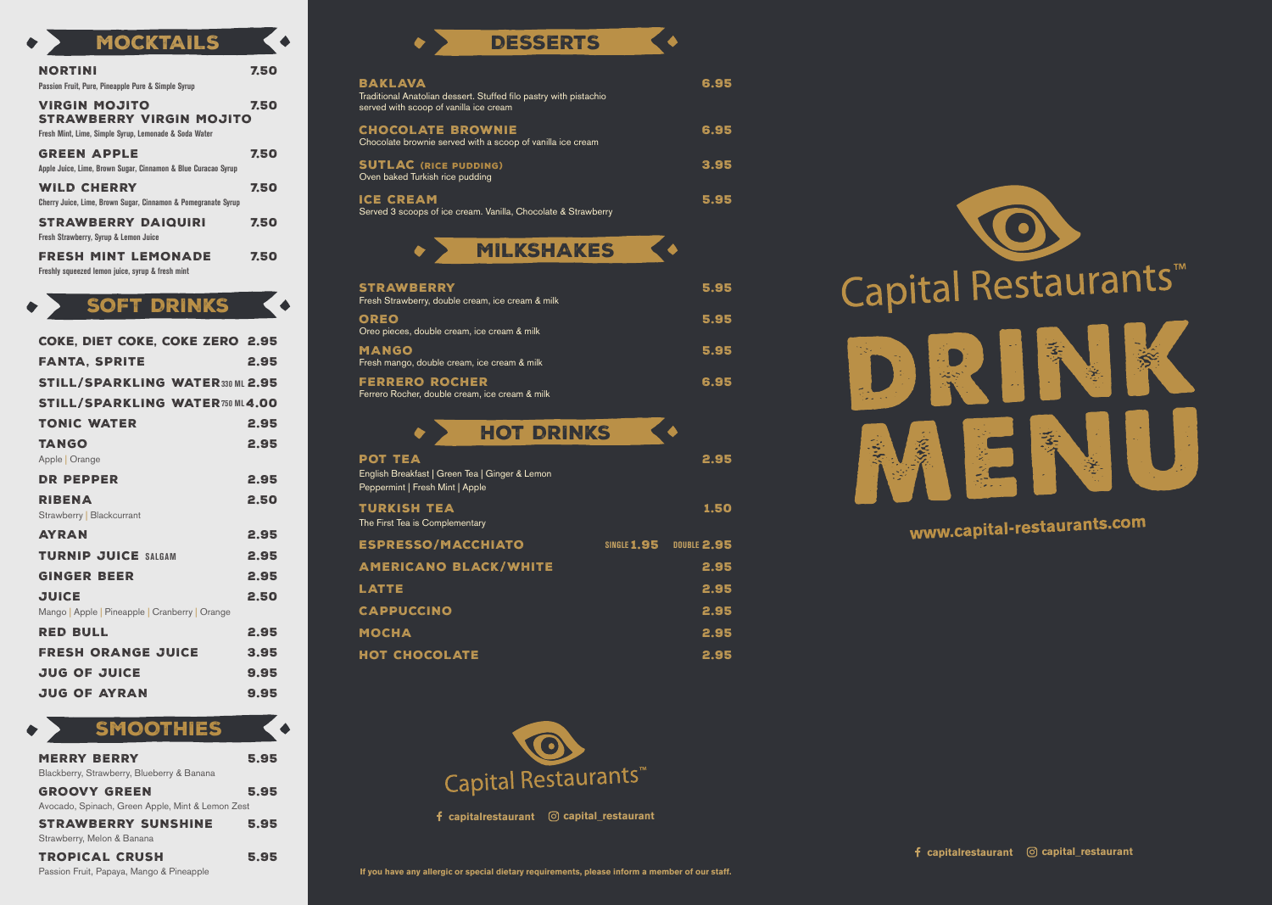## DESSERTS

 $\blacklozenge$ 

HOT DRINKS  $\blacklozenge$ POT TEA<sup>2</sup> **POT TEA** English Breakfast | Green Tea | Ginger & Lemon Peppermint | Fresh Mint | Apple TURKISH TEA<sup>1</sup> 1.50 The First Tea is Complementary ESPRESSO/MACCHIATO **SINGLE 1.95** DOUBLE 2.95 AMERICANO BLACK/WHITE 2.95 LATTE 2.95 CAPPUCCINO 2.95 MOCHA 2.95 HOT CHOCOLATE 2.95





| COKE, DIET COKE, COKE ZERO 2.95                |      |
|------------------------------------------------|------|
| <b>FANTA, SPRITE</b>                           | 2.95 |
| <b>STILL/SPARKLING WATER330 ML 2.95</b>        |      |
| <b>STILL/SPARKLING WATER750 ML4.00</b>         |      |
| <b>TONIC WATER</b>                             | 2.95 |
| <b>TANGO</b>                                   | 2.95 |
| Apple   Orange                                 |      |
| DR PEPPER                                      | 2.95 |
| <b>RIBENA</b>                                  | 2.50 |
| Strawberry   Blackcurrant                      |      |
| <b>AYRAN</b>                                   | 2.95 |
| <b>TURNIP JUICE SALGAM</b>                     | 2.95 |
| <b>GINGER BEER</b>                             | 2.95 |
| <b>JUICE</b>                                   | 2.50 |
| Mango   Apple   Pineapple   Cranberry   Orange |      |
| <b>RED BULL</b>                                | 2.95 |
| <b>FRESH ORANGE JUICE</b>                      | 3.95 |
| <b>JUG OF JUICE</b>                            | 9.95 |
| <b>JUG OF AYRAN</b>                            | 9.95 |

SOFT DRINKS

 $\bullet$ 

| <b>VUILIAINU</b>                                                                                                 |      |
|------------------------------------------------------------------------------------------------------------------|------|
| <b>NORTINI</b><br>Passion Fruit, Pure, Pineapple Pure & Simple Syrup                                             | 7.50 |
| <b>VIRGIN MOJITO</b><br><b>STRAWBERRY VIRGIN MOJITO</b><br>Fresh Mint, Lime, Simple Syrup, Lemonade & Soda Water | 7.50 |
| <b>GREEN APPLE</b><br>Apple Juice, Lime, Brown Sugar, Cinnamon & Blue Curacao Syrup                              | 7.50 |
| <b>WILD CHERRY</b><br>Cherry Juice, Lime, Brown Sugar, Cinnamon & Pomegranate Syrup                              | 7.50 |
| <b>STRAWBERRY DAIQUIRI</b><br><b>Fresh Strawberry, Syrup &amp; Lemon Juice</b>                                   | 7.50 |
| <b>FRESH MINT LEMONADE</b><br>Freshly squeezed lemon juice, syrup & fresh mint                                   | 7.50 |

MOCKTAILS

| <b>STRAWBERRY</b><br>Fresh Strawberry, double cream, ice cream & milk   | 5.95 |
|-------------------------------------------------------------------------|------|
| OREO<br>Oreo pieces, double cream, ice cream & milk                     | 5.95 |
| <b>MANGO</b><br>Fresh mango, double cream, ice cream & milk             | 5.95 |
| <b>FERRERO ROCHER</b><br>Ferrero Rocher, double cream, ice cream & milk | 6.95 |

| <b>SMOOTHIES</b>                                                        |      |
|-------------------------------------------------------------------------|------|
| <b>MERRY BERRY</b><br>Blackberry, Strawberry, Blueberry & Banana        | 5.95 |
| <b>GROOVY GREEN</b><br>Avocado, Spinach, Green Apple, Mint & Lemon Zest | 5.95 |
| <b>STRAWBERRY SUNSHINE</b><br>Strawberry, Melon & Banana                | 5.95 |
| <b>TROPICAL CRUSH</b><br>Passion Fruit, Papaya, Mango & Pineapple       | 5.95 |

| <b>BAKLAVA</b><br>Traditional Anatolian dessert. Stuffed filo pastry with pistachio<br>served with scoop of vanilla ice cream | 6.95 |
|-------------------------------------------------------------------------------------------------------------------------------|------|
| <b>CHOCOLATE BROWNIE</b><br>Chocolate brownie served with a scoop of vanilla ice cream                                        | 6.95 |
| <b>SUTLAC (RICE PUDDING)</b><br>Oven baked Turkish rice pudding                                                               | 3.95 |
| <b>ICE CREAM</b><br>Served 3 scoops of ice cream. Vanilla, Chocolate & Strawberry                                             | 5.95 |



# www.capital-restaurants.com

**capitalrestaurant capital\_restaurant**

**capitalrestaurant capital\_restaurant**